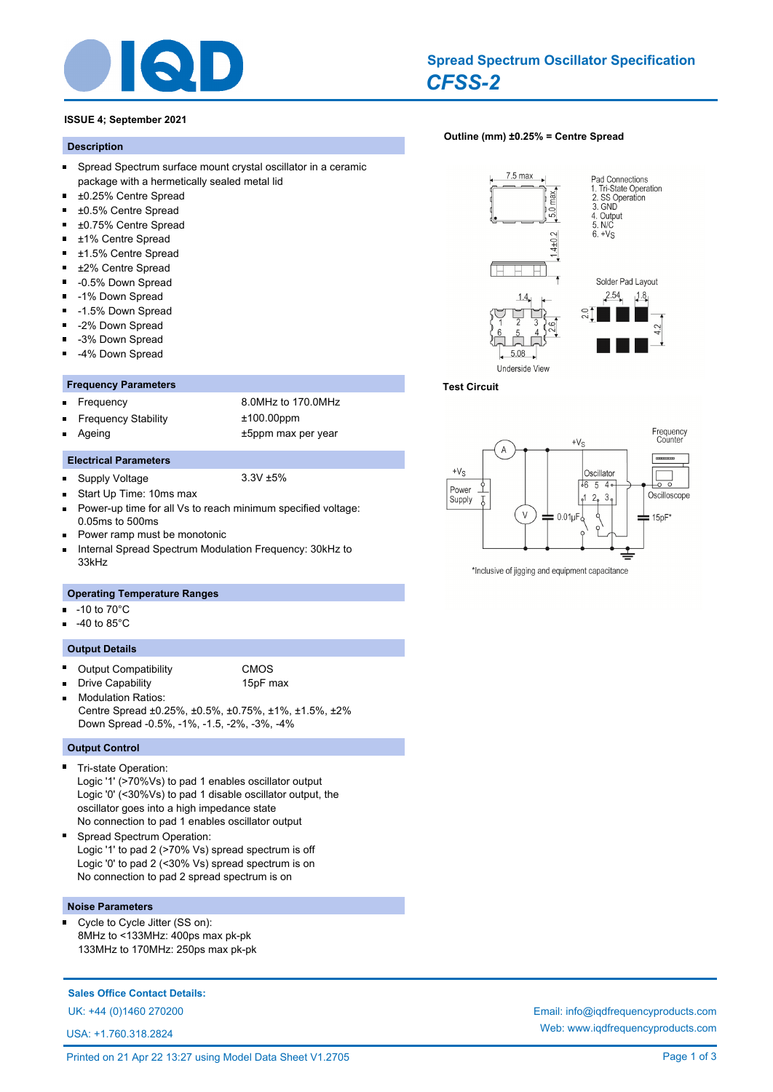

# *CFSS-2* **Spread Spectrum Oscillator Specification**

### **ISSUE 4; September 2021**

#### **Description**

- $\blacksquare$ Spread Spectrum surface mount crystal oscillator in a ceramic package with a hermetically sealed metal lid
- $\blacksquare$ ±0.25% Centre Spread
- $\blacksquare$ ±0.5% Centre Spread
- $\blacksquare$ ±0.75% Centre Spread
- ±1% Centre Spread
- ±1.5% Centre Spread  $\blacksquare$
- $\blacksquare$ ±2% Centre Spread
- $\blacksquare$ -0.5% Down Spread
- $\blacksquare$ -1% Down Spread
- $\blacksquare$ -1.5% Down Spread
- $\blacksquare$ -2% Down Spread
- -3% Down Spread  $\blacksquare$
- -4% Down Spread Ė

#### **Frequency Parameters**

 $\blacksquare$ 

Ē

Frequency 8.0MHz to 170.0MHz Frequency Stability ±100.00ppm Ageing the top that the series of the series of the top of the top that the top that the top that the top that the top that the top that the top that the top that the top that the top that the top that the top that the top

- **Electrical Parameters**
- Supply Voltage 3.3V ±5%
- Start Up Time: 10ms max  $\blacksquare$
- Power-up time for all Vs to reach minimum specified voltage:  $\blacksquare$ 0.05ms to 500ms
- Power ramp must be monotonic
- Internal Spread Spectrum Modulation Frequency: 30kHz to  $\blacksquare$ 33kHz

# **Operating Temperature Ranges**

- -10 to 70°C  $\blacksquare$
- -40 to 85°C

#### **Output Details**

Output Compatibility **CMOS** 

Drive Capability 15pF max

Modulation Ratios: Centre Spread ±0.25%, ±0.5%, ±0.75%, ±1%, ±1.5%, ±2% Down Spread -0.5%, -1%, -1.5, -2%, -3%, -4%

#### **Output Control**

- Tri-state Operation: Logic '1' (>70%Vs) to pad 1 enables oscillator output Logic '0' (<30%Vs) to pad 1 disable oscillator output, the oscillator goes into a high impedance state No connection to pad 1 enables oscillator output
- Spread Spectrum Operation: Logic '1' to pad 2 (>70% Vs) spread spectrum is off Logic '0' to pad 2 (<30% Vs) spread spectrum is on No connection to pad 2 spread spectrum is on

#### **Noise Parameters**

 $\blacksquare$ Cycle to Cycle Jitter (SS on): 8MHz to <133MHz: 400ps max pk-pk 133MHz to 170MHz: 250ps max pk-pk

# **Sales Office Contact Details:**

USA: +1.760.318.2824

# **[Outline \(mm\) ±0.25% = Centre Spread](http://www.iqdfrequencyproducts.com/products/search/?type=tcxo-tcvcxo&model=All&product-features=All&package=All&frequency=All&frequency-uom=MHz&frequency-stability=All&temperature-range=All&output=All&voltage=All)**



#### **Test Circuit**



\*Inclusive of jigging and equipment capacitance

UK: +44 (0)1460 270200 Email: info@iqdfrequencyproducts.com Web: www.iqdfrequencyproducts.com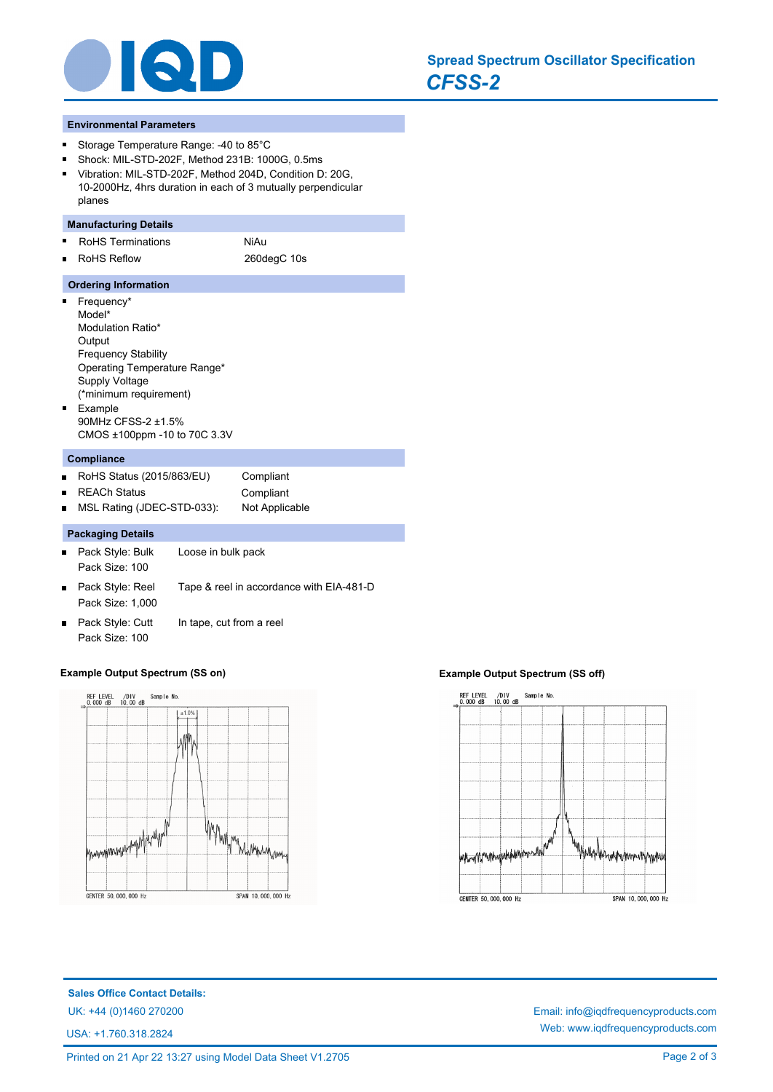

#### **Environmental Parameters**

- Storage Temperature Range: -40 to 85°C  $\blacksquare$
- Shock: MIL-STD-202F, Method 231B: 1000G, 0.5ms  $\blacksquare$
- Vibration: MIL-STD-202F, Method 204D, Condition D: 20G, 10-2000Hz, 4hrs duration in each of 3 mutually perpendicular planes

# **Manufacturing Details**

- Ė RoHS Terminations NiAu
	- RoHS Reflow 260degC 10s

### **Ordering Information**

- **Frequency\*** Model\* Modulation Ratio\* **Output** Frequency Stability Operating Temperature Range\* Supply Voltage (\*minimum requirement) Example  $\blacksquare$ 90MHz CFSS-2 ±1.5%
- CMOS ±100ppm -10 to 70C 3.3V

#### **Compliance**

 $\blacksquare$ 

- RoHS Status (2015/863/EU) Compliant  $\blacksquare$
- REACh Status **Compliant**  $\blacksquare$

MSL Rating (JDEC-STD-033): Not Applicable

### **Packaging Details**

- Pack Style: Bulk Loose in bulk pack Pack Size: 100 Pack Style: Reel Tape & reel in accordance with EIA-481-D  $\blacksquare$ Pack Size: 1,000
- Pack Style: Cutt In tape, cut from a reel  $\blacksquare$ Pack Size: 100

#### **Example Output Spectrum (SS on) Example Output Spectrum (SS off)**





**Sales Office Contact Details:** UK: +44 (0)1460 270200 Email: info@iqdfrequencyproducts.com

USA: +1.760.318.2824

Web: www.iqdfrequencyproducts.com